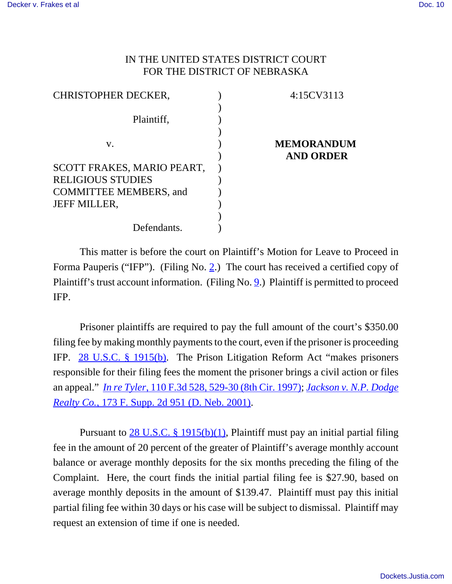## IN THE UNITED STATES DISTRICT COURT FOR THE DISTRICT OF NEBRASKA

| <b>CHRISTOPHER DECKER,</b>    | 4:15CV3113        |
|-------------------------------|-------------------|
|                               |                   |
| Plaintiff,                    |                   |
|                               |                   |
| V.                            | <b>MEMORANDUM</b> |
|                               | <b>AND ORDER</b>  |
| SCOTT FRAKES, MARIO PEART,    |                   |
| <b>RELIGIOUS STUDIES</b>      |                   |
| <b>COMMITTEE MEMBERS, and</b> |                   |
| <b>JEFF MILLER,</b>           |                   |
|                               |                   |
| Defendants.                   |                   |

This matter is before the court on Plaintiff's Motion for Leave to Proceed in Forma Pauperis ("IFP"). (Filing No. 2.) The court has received a certified copy of Plaintiff's trust account information. (Filing No. 9.) Plaintiff is permitted to proceed IFP.

Prisoner plaintiffs are required to pay the full amount of the court's \$350.00 filing fee by making monthly payments to the court, even if the prisoner is proceeding IFP. 28 U.S.C. § 1915(b). The Prison Litigation Reform Act "makes prisoners responsible for their filing fees the moment the prisoner brings a civil action or files an appeal." *In re Tyler*, 110 F.3d 528, 529-30 (8th Cir. 1997); *Jackson v. N.P. Dodge Realty Co.*, 173 F. Supp. 2d 951 (D. Neb. 2001).

Pursuant to 28 U.S.C. § 1915(b)(1), Plaintiff must pay an initial partial filing fee in the amount of 20 percent of the greater of Plaintiff's average monthly account balance or average monthly deposits for the six months preceding the filing of the Complaint. Here, the court finds the initial partial filing fee is \$27.90, based on average monthly deposits in the amount of \$139.47. Plaintiff must pay this initial partial filing fee within 30 days or his case will be subject to dismissal. Plaintiff may request an extension of time if one is needed.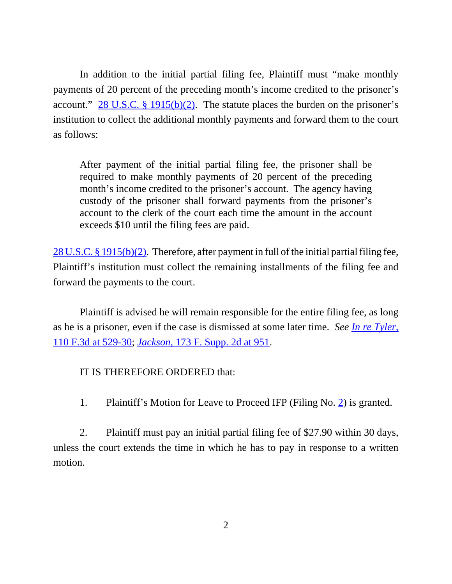In addition to the initial partial filing fee, Plaintiff must "make monthly payments of 20 percent of the preceding month's income credited to the prisoner's account."  $28 \text{ U.S.C.}$  § 1915(b)(2). The statute places the burden on the prisoner's institution to collect the additional monthly payments and forward them to the court as follows:

After payment of the initial partial filing fee, the prisoner shall be required to make monthly payments of 20 percent of the preceding month's income credited to the prisoner's account. The agency having custody of the prisoner shall forward payments from the prisoner's account to the clerk of the court each time the amount in the account exceeds \$10 until the filing fees are paid.

28 U.S.C. § 1915(b)(2). Therefore, after payment in full of the initial partial filing fee, Plaintiff's institution must collect the remaining installments of the filing fee and forward the payments to the court.

Plaintiff is advised he will remain responsible for the entire filing fee, as long as he is a prisoner, even if the case is dismissed at some later time. *See In re Tyler*, 110 F.3d at 529-30; *Jackson*, 173 F. Supp. 2d at 951.

## IT IS THEREFORE ORDERED that:

1. Plaintiff's Motion for Leave to Proceed IFP (Filing No. 2) is granted.

2. Plaintiff must pay an initial partial filing fee of \$27.90 within 30 days, unless the court extends the time in which he has to pay in response to a written motion.